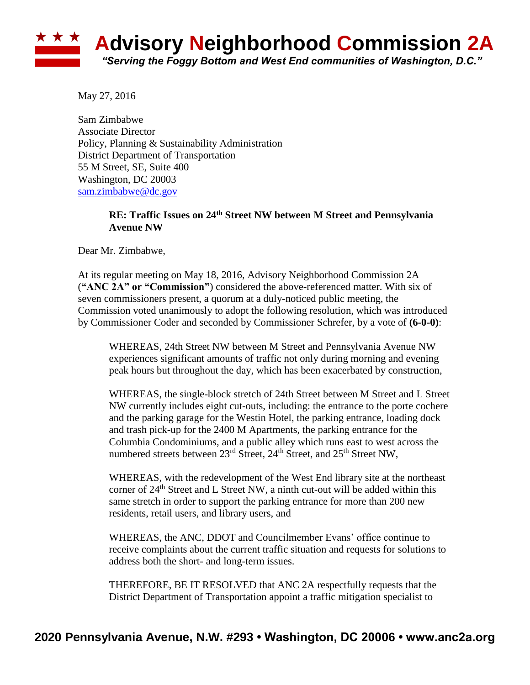## **Advisory Neighborhood Commission 2A** *"Serving the Foggy Bottom and West End communities of Washington, D.C."*

May 27, 2016

Sam Zimbabwe Associate Director Policy, Planning & Sustainability Administration District Department of Transportation 55 M Street, SE, Suite 400 Washington, DC 20003 [sam.zimbabwe@dc.gov](mailto:sam.zimbabwe@dc.gov)

## **RE: Traffic Issues on 24th Street NW between M Street and Pennsylvania Avenue NW**

Dear Mr. Zimbabwe,

At its regular meeting on May 18, 2016, Advisory Neighborhood Commission 2A (**"ANC 2A" or "Commission"**) considered the above-referenced matter. With six of seven commissioners present, a quorum at a duly-noticed public meeting, the Commission voted unanimously to adopt the following resolution, which was introduced by Commissioner Coder and seconded by Commissioner Schrefer, by a vote of **(6-0-0)**:

WHEREAS, 24th Street NW between M Street and Pennsylvania Avenue NW experiences significant amounts of traffic not only during morning and evening peak hours but throughout the day, which has been exacerbated by construction,

WHEREAS, the single-block stretch of 24th Street between M Street and L Street NW currently includes eight cut-outs, including: the entrance to the porte cochere and the parking garage for the Westin Hotel, the parking entrance, loading dock and trash pick-up for the 2400 M Apartments, the parking entrance for the Columbia Condominiums, and a public alley which runs east to west across the numbered streets between  $23<sup>rd</sup>$  Street,  $24<sup>th</sup>$  Street, and  $25<sup>th</sup>$  Street NW,

WHEREAS, with the redevelopment of the West End library site at the northeast corner of  $24<sup>th</sup>$  Street and L Street NW, a ninth cut-out will be added within this same stretch in order to support the parking entrance for more than 200 new residents, retail users, and library users, and

WHEREAS, the ANC, DDOT and Councilmember Evans' office continue to receive complaints about the current traffic situation and requests for solutions to address both the short- and long-term issues.

THEREFORE, BE IT RESOLVED that ANC 2A respectfully requests that the District Department of Transportation appoint a traffic mitigation specialist to